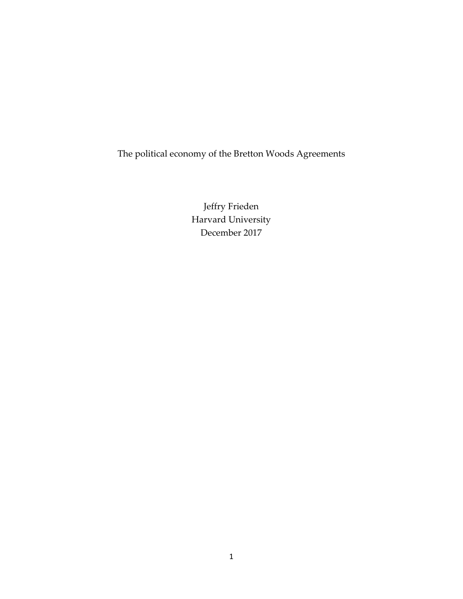The political economy of the Bretton Woods Agreements

Jeffry Frieden Harvard University December 2017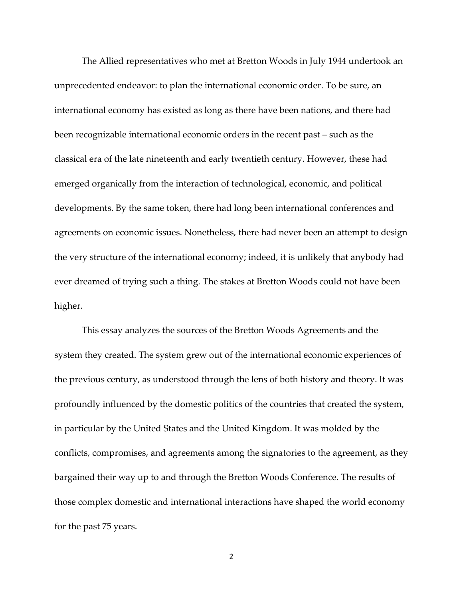The Allied representatives who met at Bretton Woods in July 1944 undertook an unprecedented endeavor: to plan the international economic order. To be sure, an international economy has existed as long as there have been nations, and there had been recognizable international economic orders in the recent past – such as the classical era of the late nineteenth and early twentieth century. However, these had emerged organically from the interaction of technological, economic, and political developments. By the same token, there had long been international conferences and agreements on economic issues. Nonetheless, there had never been an attempt to design the very structure of the international economy; indeed, it is unlikely that anybody had ever dreamed of trying such a thing. The stakes at Bretton Woods could not have been higher.

This essay analyzes the sources of the Bretton Woods Agreements and the system they created. The system grew out of the international economic experiences of the previous century, as understood through the lens of both history and theory. It was profoundly influenced by the domestic politics of the countries that created the system, in particular by the United States and the United Kingdom. It was molded by the conflicts, compromises, and agreements among the signatories to the agreement, as they bargained their way up to and through the Bretton Woods Conference. The results of those complex domestic and international interactions have shaped the world economy for the past 75 years.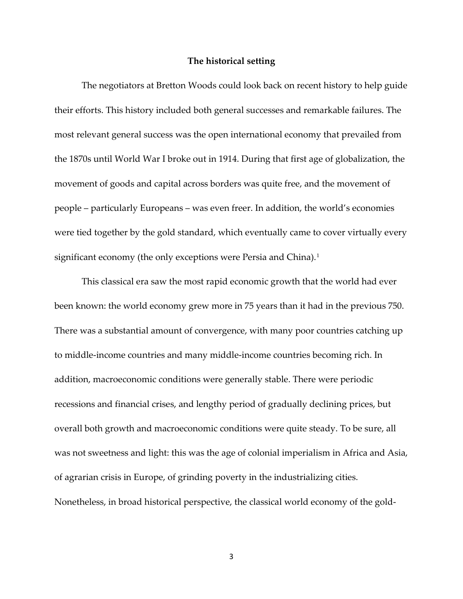## **The historical setting**

The negotiators at Bretton Woods could look back on recent history to help guide their efforts. This history included both general successes and remarkable failures. The most relevant general success was the open international economy that prevailed from the 1870s until World War I broke out in 1914. During that first age of globalization, the movement of goods and capital across borders was quite free, and the movement of people – particularly Europeans – was even freer. In addition, the world's economies were tied together by the gold standard, which eventually came to cover virtually every significant economy (the only exceptions were Persia and China).<sup>[1](#page-27-0)</sup>

This classical era saw the most rapid economic growth that the world had ever been known: the world economy grew more in 75 years than it had in the previous 750. There was a substantial amount of convergence, with many poor countries catching up to middle-income countries and many middle-income countries becoming rich. In addition, macroeconomic conditions were generally stable. There were periodic recessions and financial crises, and lengthy period of gradually declining prices, but overall both growth and macroeconomic conditions were quite steady. To be sure, all was not sweetness and light: this was the age of colonial imperialism in Africa and Asia, of agrarian crisis in Europe, of grinding poverty in the industrializing cities. Nonetheless, in broad historical perspective, the classical world economy of the gold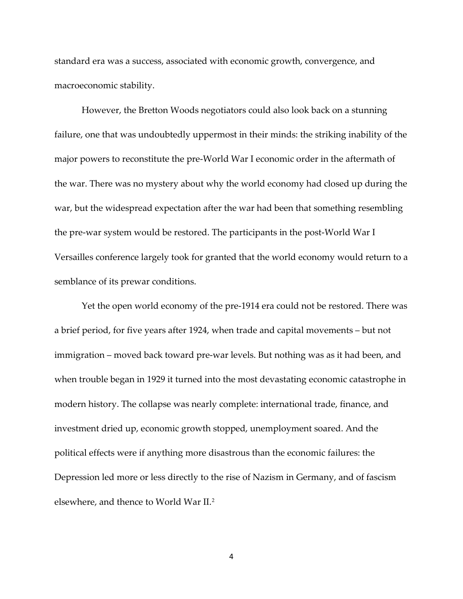standard era was a success, associated with economic growth, convergence, and macroeconomic stability.

However, the Bretton Woods negotiators could also look back on a stunning failure, one that was undoubtedly uppermost in their minds: the striking inability of the major powers to reconstitute the pre-World War I economic order in the aftermath of the war. There was no mystery about why the world economy had closed up during the war, but the widespread expectation after the war had been that something resembling the pre-war system would be restored. The participants in the post-World War I Versailles conference largely took for granted that the world economy would return to a semblance of its prewar conditions.

Yet the open world economy of the pre-1914 era could not be restored. There was a brief period, for five years after 1924, when trade and capital movements – but not immigration – moved back toward pre-war levels. But nothing was as it had been, and when trouble began in 1929 it turned into the most devastating economic catastrophe in modern history. The collapse was nearly complete: international trade, finance, and investment dried up, economic growth stopped, unemployment soared. And the political effects were if anything more disastrous than the economic failures: the Depression led more or less directly to the rise of Nazism in Germany, and of fascism elsewhere, and thence to World War II.[2](#page-27-1)

4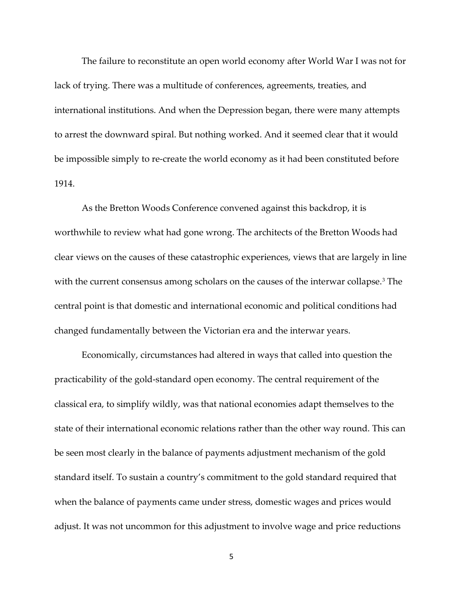The failure to reconstitute an open world economy after World War I was not for lack of trying. There was a multitude of conferences, agreements, treaties, and international institutions. And when the Depression began, there were many attempts to arrest the downward spiral. But nothing worked. And it seemed clear that it would be impossible simply to re-create the world economy as it had been constituted before 1914.

As the Bretton Woods Conference convened against this backdrop, it is worthwhile to review what had gone wrong. The architects of the Bretton Woods had clear views on the causes of these catastrophic experiences, views that are largely in line with the current consensus among scholars on the causes of the interwar collapse.<sup>[3](#page-27-2)</sup> The central point is that domestic and international economic and political conditions had changed fundamentally between the Victorian era and the interwar years.

Economically, circumstances had altered in ways that called into question the practicability of the gold-standard open economy. The central requirement of the classical era, to simplify wildly, was that national economies adapt themselves to the state of their international economic relations rather than the other way round. This can be seen most clearly in the balance of payments adjustment mechanism of the gold standard itself. To sustain a country's commitment to the gold standard required that when the balance of payments came under stress, domestic wages and prices would adjust. It was not uncommon for this adjustment to involve wage and price reductions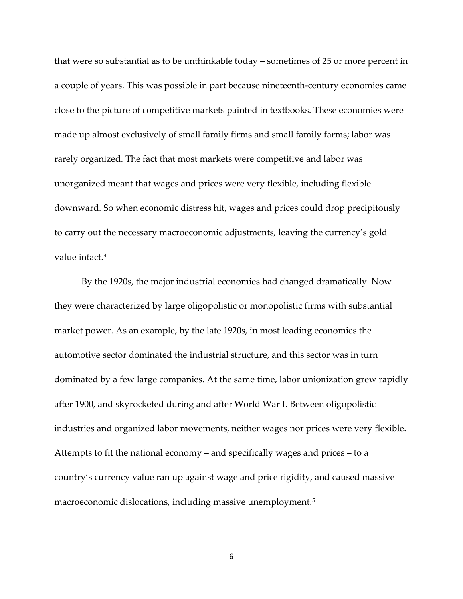that were so substantial as to be unthinkable today – sometimes of 25 or more percent in a couple of years. This was possible in part because nineteenth-century economies came close to the picture of competitive markets painted in textbooks. These economies were made up almost exclusively of small family firms and small family farms; labor was rarely organized. The fact that most markets were competitive and labor was unorganized meant that wages and prices were very flexible, including flexible downward. So when economic distress hit, wages and prices could drop precipitously to carry out the necessary macroeconomic adjustments, leaving the currency's gold value intact.[4](#page-28-0)

By the 1920s, the major industrial economies had changed dramatically. Now they were characterized by large oligopolistic or monopolistic firms with substantial market power. As an example, by the late 1920s, in most leading economies the automotive sector dominated the industrial structure, and this sector was in turn dominated by a few large companies. At the same time, labor unionization grew rapidly after 1900, and skyrocketed during and after World War I. Between oligopolistic industries and organized labor movements, neither wages nor prices were very flexible. Attempts to fit the national economy – and specifically wages and prices – to a country's currency value ran up against wage and price rigidity, and caused massive macroeconomic dislocations, including massive unemployment.<sup>[5](#page-28-1)</sup>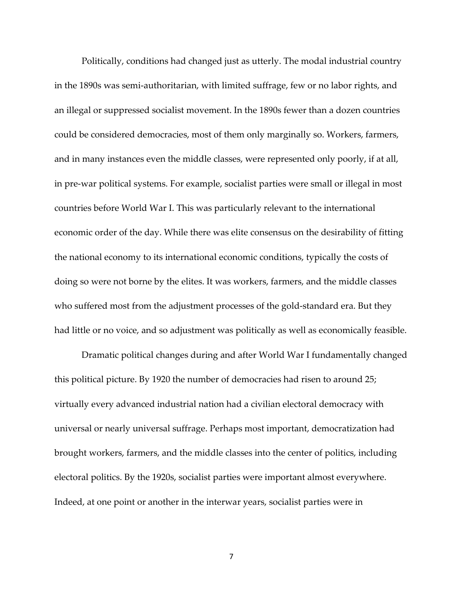Politically, conditions had changed just as utterly. The modal industrial country in the 1890s was semi-authoritarian, with limited suffrage, few or no labor rights, and an illegal or suppressed socialist movement. In the 1890s fewer than a dozen countries could be considered democracies, most of them only marginally so. Workers, farmers, and in many instances even the middle classes, were represented only poorly, if at all, in pre-war political systems. For example, socialist parties were small or illegal in most countries before World War I. This was particularly relevant to the international economic order of the day. While there was elite consensus on the desirability of fitting the national economy to its international economic conditions, typically the costs of doing so were not borne by the elites. It was workers, farmers, and the middle classes who suffered most from the adjustment processes of the gold-standard era. But they had little or no voice, and so adjustment was politically as well as economically feasible.

Dramatic political changes during and after World War I fundamentally changed this political picture. By 1920 the number of democracies had risen to around 25; virtually every advanced industrial nation had a civilian electoral democracy with universal or nearly universal suffrage. Perhaps most important, democratization had brought workers, farmers, and the middle classes into the center of politics, including electoral politics. By the 1920s, socialist parties were important almost everywhere. Indeed, at one point or another in the interwar years, socialist parties were in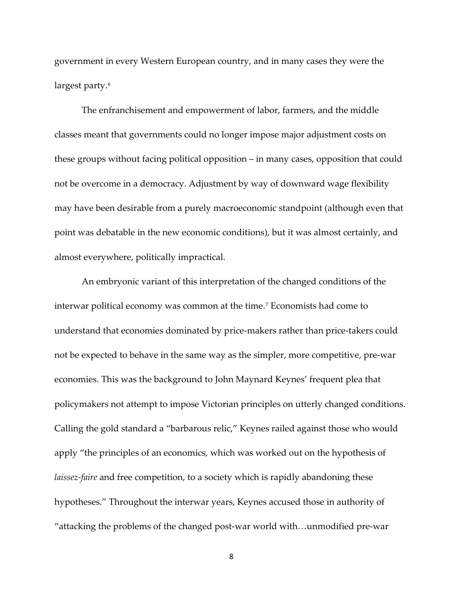government in every Western European country, and in many cases they were the largest party.<sup>[6](#page-28-2)</sup>

The enfranchisement and empowerment of labor, farmers, and the middle classes meant that governments could no longer impose major adjustment costs on these groups without facing political opposition – in many cases, opposition that could not be overcome in a democracy. Adjustment by way of downward wage flexibility may have been desirable from a purely macroeconomic standpoint (although even that point was debatable in the new economic conditions), but it was almost certainly, and almost everywhere, politically impractical.

An embryonic variant of this interpretation of the changed conditions of the interwar political economy was common at the time.[7](#page-28-3) Economists had come to understand that economies dominated by price-makers rather than price-takers could not be expected to behave in the same way as the simpler, more competitive, pre-war economies. This was the background to John Maynard Keynes' frequent plea that policymakers not attempt to impose Victorian principles on utterly changed conditions. Calling the gold standard a "barbarous relic," Keynes railed against those who would apply "the principles of an economics, which was worked out on the hypothesis of *laissez-faire* and free competition, to a society which is rapidly abandoning these hypotheses." Throughout the interwar years, Keynes accused those in authority of "attacking the problems of the changed post-war world with…unmodified pre-war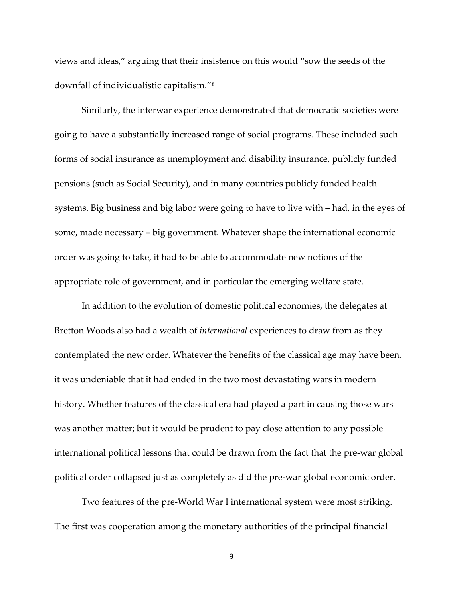views and ideas," arguing that their insistence on this would "sow the seeds of the downfall of individualistic capitalism."[8](#page-28-4)

Similarly, the interwar experience demonstrated that democratic societies were going to have a substantially increased range of social programs. These included such forms of social insurance as unemployment and disability insurance, publicly funded pensions (such as Social Security), and in many countries publicly funded health systems. Big business and big labor were going to have to live with – had, in the eyes of some, made necessary – big government. Whatever shape the international economic order was going to take, it had to be able to accommodate new notions of the appropriate role of government, and in particular the emerging welfare state.

In addition to the evolution of domestic political economies, the delegates at Bretton Woods also had a wealth of *international* experiences to draw from as they contemplated the new order. Whatever the benefits of the classical age may have been, it was undeniable that it had ended in the two most devastating wars in modern history. Whether features of the classical era had played a part in causing those wars was another matter; but it would be prudent to pay close attention to any possible international political lessons that could be drawn from the fact that the pre-war global political order collapsed just as completely as did the pre-war global economic order.

Two features of the pre-World War I international system were most striking. The first was cooperation among the monetary authorities of the principal financial

9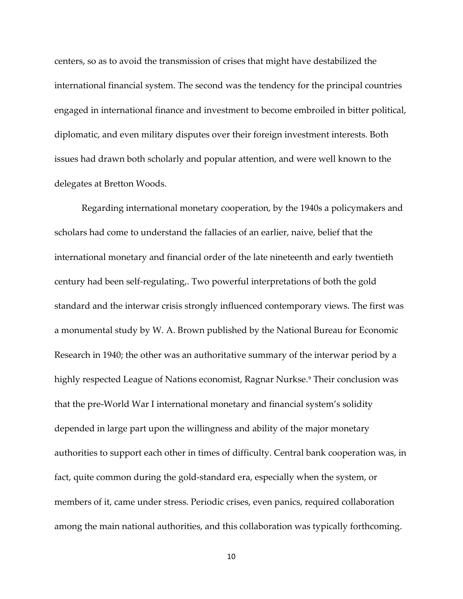centers, so as to avoid the transmission of crises that might have destabilized the international financial system. The second was the tendency for the principal countries engaged in international finance and investment to become embroiled in bitter political, diplomatic, and even military disputes over their foreign investment interests. Both issues had drawn both scholarly and popular attention, and were well known to the delegates at Bretton Woods.

Regarding international monetary cooperation, by the 1940s a policymakers and scholars had come to understand the fallacies of an earlier, naive, belief that the international monetary and financial order of the late nineteenth and early twentieth century had been self-regulating,. Two powerful interpretations of both the gold standard and the interwar crisis strongly influenced contemporary views. The first was a monumental study by W. A. Brown published by the National Bureau for Economic Research in 1940; the other was an authoritative summary of the interwar period by a highly respected League of Nations economist, Ragnar Nurkse.<sup>[9](#page-29-0)</sup> Their conclusion was that the pre-World War I international monetary and financial system's solidity depended in large part upon the willingness and ability of the major monetary authorities to support each other in times of difficulty. Central bank cooperation was, in fact, quite common during the gold-standard era, especially when the system, or members of it, came under stress. Periodic crises, even panics, required collaboration among the main national authorities, and this collaboration was typically forthcoming.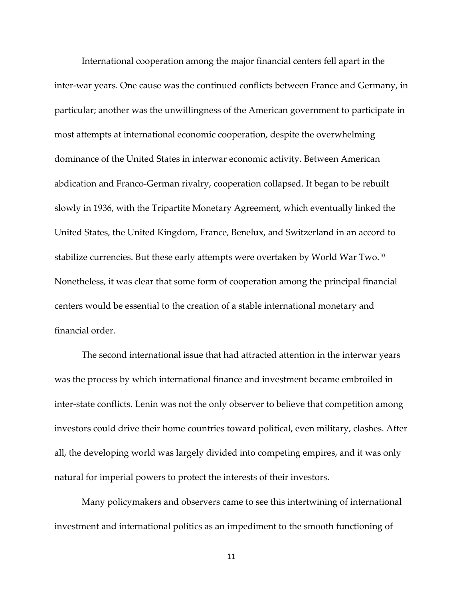International cooperation among the major financial centers fell apart in the inter-war years. One cause was the continued conflicts between France and Germany, in particular; another was the unwillingness of the American government to participate in most attempts at international economic cooperation, despite the overwhelming dominance of the United States in interwar economic activity. Between American abdication and Franco-German rivalry, cooperation collapsed. It began to be rebuilt slowly in 1936, with the Tripartite Monetary Agreement, which eventually linked the United States, the United Kingdom, France, Benelux, and Switzerland in an accord to stabilize currencies. But these early attempts were overtaken by World War Two.[10](#page-29-1) Nonetheless, it was clear that some form of cooperation among the principal financial centers would be essential to the creation of a stable international monetary and financial order.

The second international issue that had attracted attention in the interwar years was the process by which international finance and investment became embroiled in inter-state conflicts. Lenin was not the only observer to believe that competition among investors could drive their home countries toward political, even military, clashes. After all, the developing world was largely divided into competing empires, and it was only natural for imperial powers to protect the interests of their investors.

Many policymakers and observers came to see this intertwining of international investment and international politics as an impediment to the smooth functioning of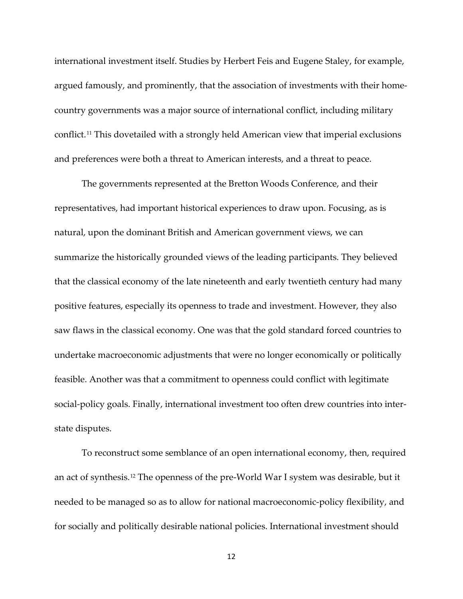international investment itself. Studies by Herbert Feis and Eugene Staley, for example, argued famously, and prominently, that the association of investments with their homecountry governments was a major source of international conflict, including military conflict.[11](#page-29-2) This dovetailed with a strongly held American view that imperial exclusions and preferences were both a threat to American interests, and a threat to peace.

The governments represented at the Bretton Woods Conference, and their representatives, had important historical experiences to draw upon. Focusing, as is natural, upon the dominant British and American government views, we can summarize the historically grounded views of the leading participants. They believed that the classical economy of the late nineteenth and early twentieth century had many positive features, especially its openness to trade and investment. However, they also saw flaws in the classical economy. One was that the gold standard forced countries to undertake macroeconomic adjustments that were no longer economically or politically feasible. Another was that a commitment to openness could conflict with legitimate social-policy goals. Finally, international investment too often drew countries into interstate disputes.

To reconstruct some semblance of an open international economy, then, required an act of synthesis.[12](#page-29-3) The openness of the pre-World War I system was desirable, but it needed to be managed so as to allow for national macroeconomic-policy flexibility, and for socially and politically desirable national policies. International investment should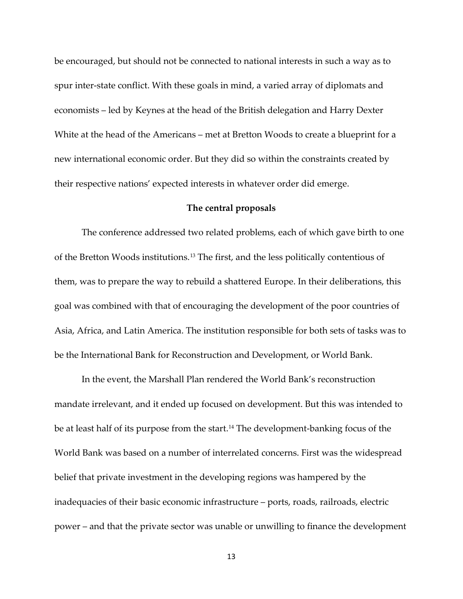be encouraged, but should not be connected to national interests in such a way as to spur inter-state conflict. With these goals in mind, a varied array of diplomats and economists – led by Keynes at the head of the British delegation and Harry Dexter White at the head of the Americans – met at Bretton Woods to create a blueprint for a new international economic order. But they did so within the constraints created by their respective nations' expected interests in whatever order did emerge.

## **The central proposals**

The conference addressed two related problems, each of which gave birth to one of the Bretton Woods institutions.[13](#page-29-4) The first, and the less politically contentious of them, was to prepare the way to rebuild a shattered Europe. In their deliberations, this goal was combined with that of encouraging the development of the poor countries of Asia, Africa, and Latin America. The institution responsible for both sets of tasks was to be the International Bank for Reconstruction and Development, or World Bank.

In the event, the Marshall Plan rendered the World Bank's reconstruction mandate irrelevant, and it ended up focused on development. But this was intended to be at least half of its purpose from the start. [14](#page-30-0) The development-banking focus of the World Bank was based on a number of interrelated concerns. First was the widespread belief that private investment in the developing regions was hampered by the inadequacies of their basic economic infrastructure – ports, roads, railroads, electric power – and that the private sector was unable or unwilling to finance the development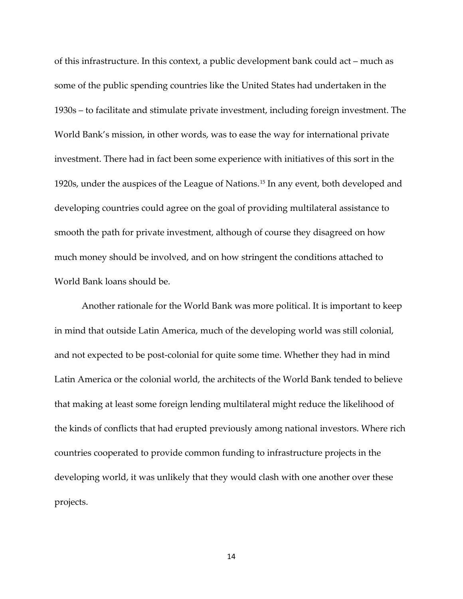of this infrastructure. In this context, a public development bank could act – much as some of the public spending countries like the United States had undertaken in the 1930s – to facilitate and stimulate private investment, including foreign investment. The World Bank's mission, in other words, was to ease the way for international private investment. There had in fact been some experience with initiatives of this sort in the 1920s, under the auspices of the League of Nations.[15](#page-30-1) In any event, both developed and developing countries could agree on the goal of providing multilateral assistance to smooth the path for private investment, although of course they disagreed on how much money should be involved, and on how stringent the conditions attached to World Bank loans should be.

Another rationale for the World Bank was more political. It is important to keep in mind that outside Latin America, much of the developing world was still colonial, and not expected to be post-colonial for quite some time. Whether they had in mind Latin America or the colonial world, the architects of the World Bank tended to believe that making at least some foreign lending multilateral might reduce the likelihood of the kinds of conflicts that had erupted previously among national investors. Where rich countries cooperated to provide common funding to infrastructure projects in the developing world, it was unlikely that they would clash with one another over these projects.

14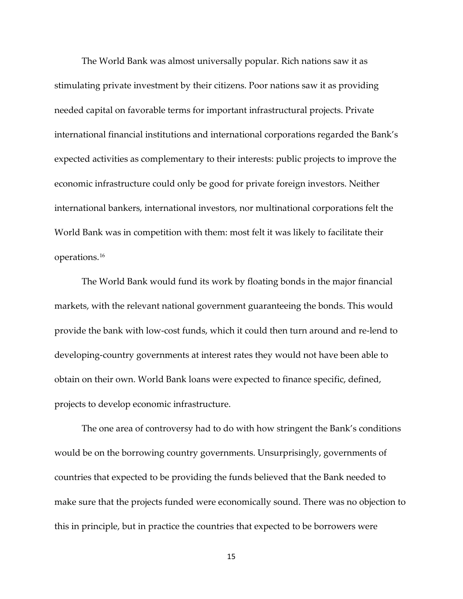The World Bank was almost universally popular. Rich nations saw it as stimulating private investment by their citizens. Poor nations saw it as providing needed capital on favorable terms for important infrastructural projects. Private international financial institutions and international corporations regarded the Bank's expected activities as complementary to their interests: public projects to improve the economic infrastructure could only be good for private foreign investors. Neither international bankers, international investors, nor multinational corporations felt the World Bank was in competition with them: most felt it was likely to facilitate their operations.[16](#page-30-2)

The World Bank would fund its work by floating bonds in the major financial markets, with the relevant national government guaranteeing the bonds. This would provide the bank with low-cost funds, which it could then turn around and re-lend to developing-country governments at interest rates they would not have been able to obtain on their own. World Bank loans were expected to finance specific, defined, projects to develop economic infrastructure.

The one area of controversy had to do with how stringent the Bank's conditions would be on the borrowing country governments. Unsurprisingly, governments of countries that expected to be providing the funds believed that the Bank needed to make sure that the projects funded were economically sound. There was no objection to this in principle, but in practice the countries that expected to be borrowers were

15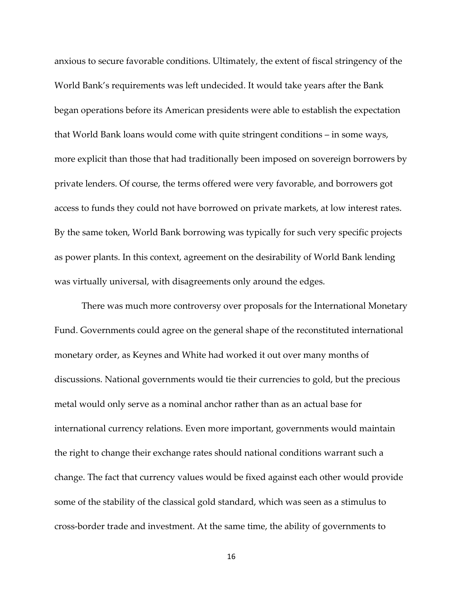anxious to secure favorable conditions. Ultimately, the extent of fiscal stringency of the World Bank's requirements was left undecided. It would take years after the Bank began operations before its American presidents were able to establish the expectation that World Bank loans would come with quite stringent conditions – in some ways, more explicit than those that had traditionally been imposed on sovereign borrowers by private lenders. Of course, the terms offered were very favorable, and borrowers got access to funds they could not have borrowed on private markets, at low interest rates. By the same token, World Bank borrowing was typically for such very specific projects as power plants. In this context, agreement on the desirability of World Bank lending was virtually universal, with disagreements only around the edges.

There was much more controversy over proposals for the International Monetary Fund. Governments could agree on the general shape of the reconstituted international monetary order, as Keynes and White had worked it out over many months of discussions. National governments would tie their currencies to gold, but the precious metal would only serve as a nominal anchor rather than as an actual base for international currency relations. Even more important, governments would maintain the right to change their exchange rates should national conditions warrant such a change. The fact that currency values would be fixed against each other would provide some of the stability of the classical gold standard, which was seen as a stimulus to cross-border trade and investment. At the same time, the ability of governments to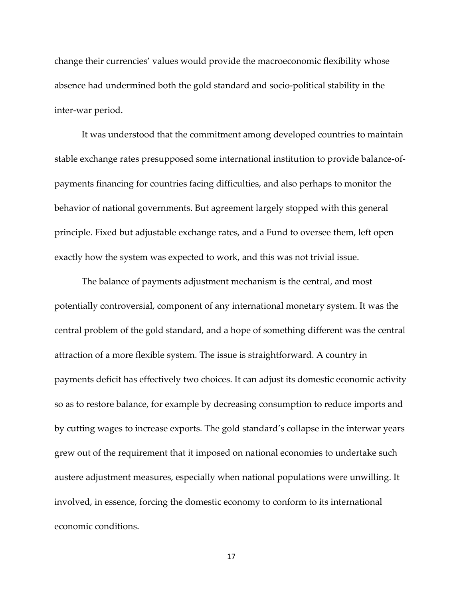change their currencies' values would provide the macroeconomic flexibility whose absence had undermined both the gold standard and socio-political stability in the inter-war period.

It was understood that the commitment among developed countries to maintain stable exchange rates presupposed some international institution to provide balance-ofpayments financing for countries facing difficulties, and also perhaps to monitor the behavior of national governments. But agreement largely stopped with this general principle. Fixed but adjustable exchange rates, and a Fund to oversee them, left open exactly how the system was expected to work, and this was not trivial issue.

The balance of payments adjustment mechanism is the central, and most potentially controversial, component of any international monetary system. It was the central problem of the gold standard, and a hope of something different was the central attraction of a more flexible system. The issue is straightforward. A country in payments deficit has effectively two choices. It can adjust its domestic economic activity so as to restore balance, for example by decreasing consumption to reduce imports and by cutting wages to increase exports. The gold standard's collapse in the interwar years grew out of the requirement that it imposed on national economies to undertake such austere adjustment measures, especially when national populations were unwilling. It involved, in essence, forcing the domestic economy to conform to its international economic conditions.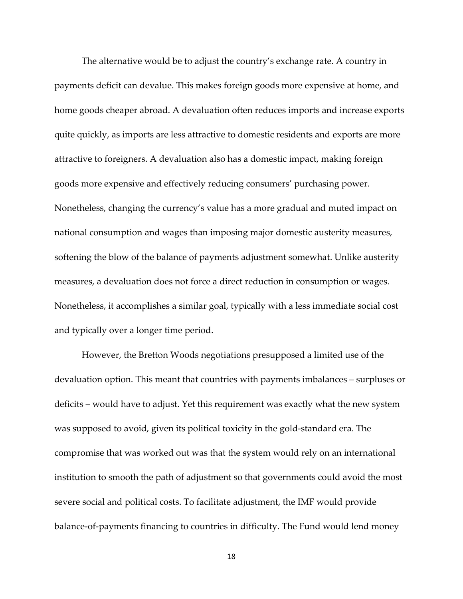The alternative would be to adjust the country's exchange rate. A country in payments deficit can devalue. This makes foreign goods more expensive at home, and home goods cheaper abroad. A devaluation often reduces imports and increase exports quite quickly, as imports are less attractive to domestic residents and exports are more attractive to foreigners. A devaluation also has a domestic impact, making foreign goods more expensive and effectively reducing consumers' purchasing power. Nonetheless, changing the currency's value has a more gradual and muted impact on national consumption and wages than imposing major domestic austerity measures, softening the blow of the balance of payments adjustment somewhat. Unlike austerity measures, a devaluation does not force a direct reduction in consumption or wages. Nonetheless, it accomplishes a similar goal, typically with a less immediate social cost and typically over a longer time period.

However, the Bretton Woods negotiations presupposed a limited use of the devaluation option. This meant that countries with payments imbalances – surpluses or deficits – would have to adjust. Yet this requirement was exactly what the new system was supposed to avoid, given its political toxicity in the gold-standard era. The compromise that was worked out was that the system would rely on an international institution to smooth the path of adjustment so that governments could avoid the most severe social and political costs. To facilitate adjustment, the IMF would provide balance-of-payments financing to countries in difficulty. The Fund would lend money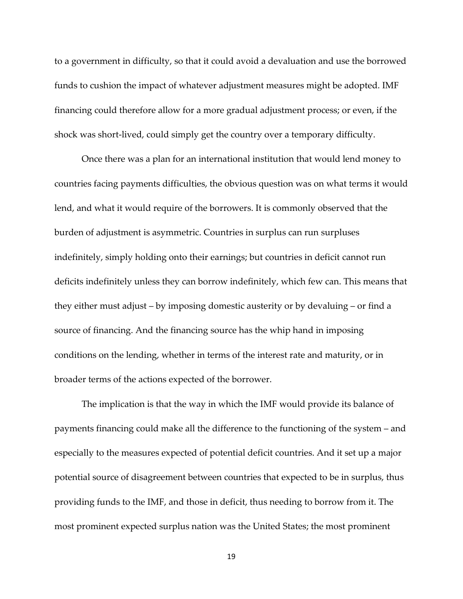to a government in difficulty, so that it could avoid a devaluation and use the borrowed funds to cushion the impact of whatever adjustment measures might be adopted. IMF financing could therefore allow for a more gradual adjustment process; or even, if the shock was short-lived, could simply get the country over a temporary difficulty.

Once there was a plan for an international institution that would lend money to countries facing payments difficulties, the obvious question was on what terms it would lend, and what it would require of the borrowers. It is commonly observed that the burden of adjustment is asymmetric. Countries in surplus can run surpluses indefinitely, simply holding onto their earnings; but countries in deficit cannot run deficits indefinitely unless they can borrow indefinitely, which few can. This means that they either must adjust – by imposing domestic austerity or by devaluing – or find a source of financing. And the financing source has the whip hand in imposing conditions on the lending, whether in terms of the interest rate and maturity, or in broader terms of the actions expected of the borrower.

The implication is that the way in which the IMF would provide its balance of payments financing could make all the difference to the functioning of the system – and especially to the measures expected of potential deficit countries. And it set up a major potential source of disagreement between countries that expected to be in surplus, thus providing funds to the IMF, and those in deficit, thus needing to borrow from it. The most prominent expected surplus nation was the United States; the most prominent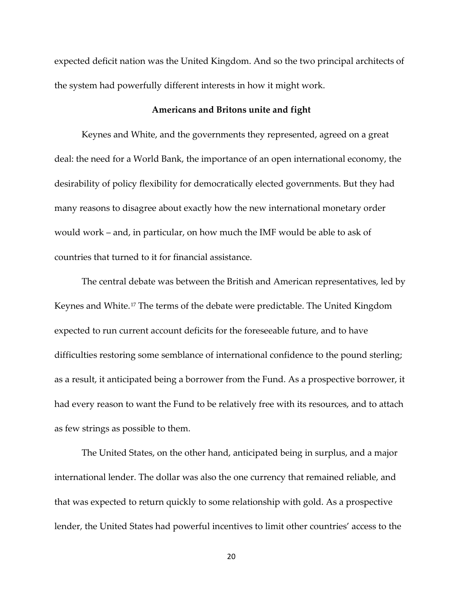expected deficit nation was the United Kingdom. And so the two principal architects of the system had powerfully different interests in how it might work.

## **Americans and Britons unite and fight**

Keynes and White, and the governments they represented, agreed on a great deal: the need for a World Bank, the importance of an open international economy, the desirability of policy flexibility for democratically elected governments. But they had many reasons to disagree about exactly how the new international monetary order would work – and, in particular, on how much the IMF would be able to ask of countries that turned to it for financial assistance.

The central debate was between the British and American representatives, led by Keynes and White.[17](#page-30-3) The terms of the debate were predictable. The United Kingdom expected to run current account deficits for the foreseeable future, and to have difficulties restoring some semblance of international confidence to the pound sterling; as a result, it anticipated being a borrower from the Fund. As a prospective borrower, it had every reason to want the Fund to be relatively free with its resources, and to attach as few strings as possible to them.

The United States, on the other hand, anticipated being in surplus, and a major international lender. The dollar was also the one currency that remained reliable, and that was expected to return quickly to some relationship with gold. As a prospective lender, the United States had powerful incentives to limit other countries' access to the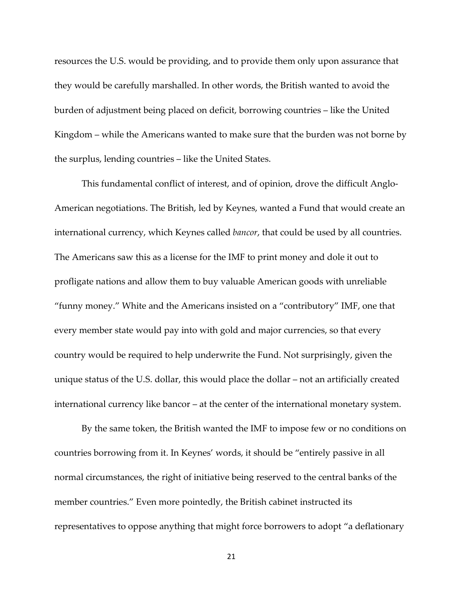resources the U.S. would be providing, and to provide them only upon assurance that they would be carefully marshalled. In other words, the British wanted to avoid the burden of adjustment being placed on deficit, borrowing countries – like the United Kingdom – while the Americans wanted to make sure that the burden was not borne by the surplus, lending countries – like the United States.

This fundamental conflict of interest, and of opinion, drove the difficult Anglo-American negotiations. The British, led by Keynes, wanted a Fund that would create an international currency, which Keynes called *bancor*, that could be used by all countries. The Americans saw this as a license for the IMF to print money and dole it out to profligate nations and allow them to buy valuable American goods with unreliable "funny money." White and the Americans insisted on a "contributory" IMF, one that every member state would pay into with gold and major currencies, so that every country would be required to help underwrite the Fund. Not surprisingly, given the unique status of the U.S. dollar, this would place the dollar – not an artificially created international currency like bancor – at the center of the international monetary system.

By the same token, the British wanted the IMF to impose few or no conditions on countries borrowing from it. In Keynes' words, it should be "entirely passive in all normal circumstances, the right of initiative being reserved to the central banks of the member countries." Even more pointedly, the British cabinet instructed its representatives to oppose anything that might force borrowers to adopt "a deflationary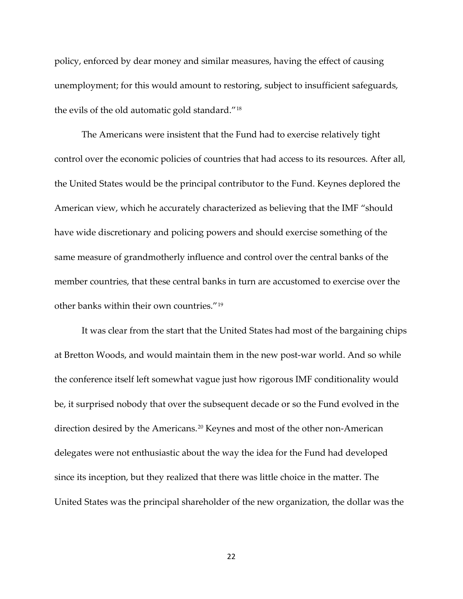policy, enforced by dear money and similar measures, having the effect of causing unemployment; for this would amount to restoring, subject to insufficient safeguards, the evils of the old automatic gold standard."[18](#page-30-4)

The Americans were insistent that the Fund had to exercise relatively tight control over the economic policies of countries that had access to its resources. After all, the United States would be the principal contributor to the Fund. Keynes deplored the American view, which he accurately characterized as believing that the IMF "should have wide discretionary and policing powers and should exercise something of the same measure of grandmotherly influence and control over the central banks of the member countries, that these central banks in turn are accustomed to exercise over the other banks within their own countries."[19](#page-30-5)

It was clear from the start that the United States had most of the bargaining chips at Bretton Woods, and would maintain them in the new post-war world. And so while the conference itself left somewhat vague just how rigorous IMF conditionality would be, it surprised nobody that over the subsequent decade or so the Fund evolved in the direction desired by the Americans.<sup>[20](#page-30-6)</sup> Keynes and most of the other non-American delegates were not enthusiastic about the way the idea for the Fund had developed since its inception, but they realized that there was little choice in the matter. The United States was the principal shareholder of the new organization, the dollar was the

22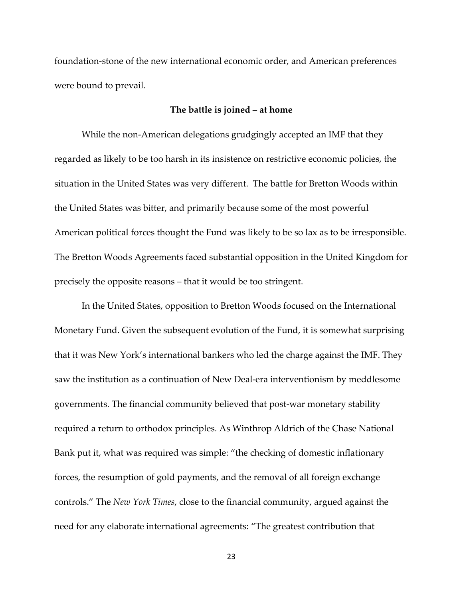foundation-stone of the new international economic order, and American preferences were bound to prevail.

## **The battle is joined – at home**

While the non-American delegations grudgingly accepted an IMF that they regarded as likely to be too harsh in its insistence on restrictive economic policies, the situation in the United States was very different. The battle for Bretton Woods within the United States was bitter, and primarily because some of the most powerful American political forces thought the Fund was likely to be so lax as to be irresponsible. The Bretton Woods Agreements faced substantial opposition in the United Kingdom for precisely the opposite reasons – that it would be too stringent.

In the United States, opposition to Bretton Woods focused on the International Monetary Fund. Given the subsequent evolution of the Fund, it is somewhat surprising that it was New York's international bankers who led the charge against the IMF. They saw the institution as a continuation of New Deal-era interventionism by meddlesome governments. The financial community believed that post-war monetary stability required a return to orthodox principles. As Winthrop Aldrich of the Chase National Bank put it, what was required was simple: "the checking of domestic inflationary forces, the resumption of gold payments, and the removal of all foreign exchange controls." The *New York Times*, close to the financial community, argued against the need for any elaborate international agreements: "The greatest contribution that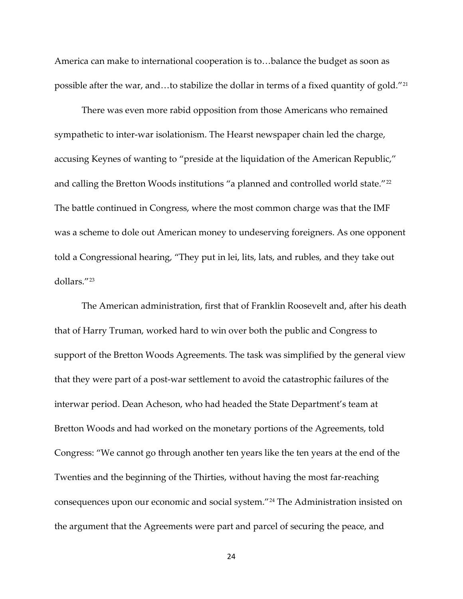America can make to international cooperation is to…balance the budget as soon as possible after the war, and…to stabilize the dollar in terms of a fixed quantity of gold."[21](#page-30-7)

There was even more rabid opposition from those Americans who remained sympathetic to inter-war isolationism. The Hearst newspaper chain led the charge, accusing Keynes of wanting to "preside at the liquidation of the American Republic," and calling the Bretton Woods institutions "a planned and controlled world state."<sup>[22](#page-30-8)</sup> The battle continued in Congress, where the most common charge was that the IMF was a scheme to dole out American money to undeserving foreigners. As one opponent told a Congressional hearing, "They put in lei, lits, lats, and rubles, and they take out dollars."[23](#page-30-9)

The American administration, first that of Franklin Roosevelt and, after his death that of Harry Truman, worked hard to win over both the public and Congress to support of the Bretton Woods Agreements. The task was simplified by the general view that they were part of a post-war settlement to avoid the catastrophic failures of the interwar period. Dean Acheson, who had headed the State Department's team at Bretton Woods and had worked on the monetary portions of the Agreements, told Congress: "We cannot go through another ten years like the ten years at the end of the Twenties and the beginning of the Thirties, without having the most far-reaching consequences upon our economic and social system."[24](#page-31-0) The Administration insisted on the argument that the Agreements were part and parcel of securing the peace, and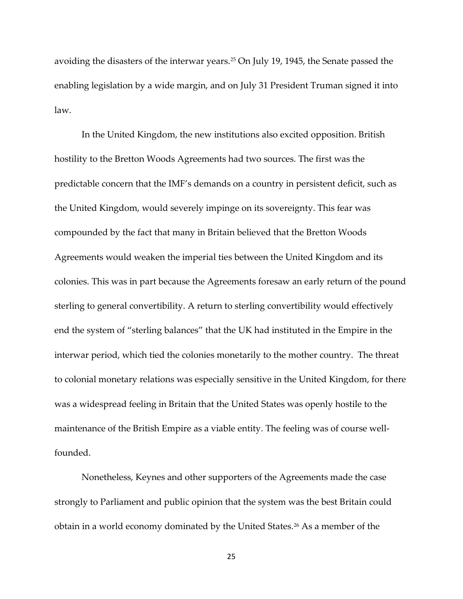avoiding the disasters of the interwar years.<sup>[25](#page-31-1)</sup> On July 19, 1945, the Senate passed the enabling legislation by a wide margin, and on July 31 President Truman signed it into law.

In the United Kingdom, the new institutions also excited opposition. British hostility to the Bretton Woods Agreements had two sources. The first was the predictable concern that the IMF's demands on a country in persistent deficit, such as the United Kingdom, would severely impinge on its sovereignty. This fear was compounded by the fact that many in Britain believed that the Bretton Woods Agreements would weaken the imperial ties between the United Kingdom and its colonies. This was in part because the Agreements foresaw an early return of the pound sterling to general convertibility. A return to sterling convertibility would effectively end the system of "sterling balances" that the UK had instituted in the Empire in the interwar period, which tied the colonies monetarily to the mother country. The threat to colonial monetary relations was especially sensitive in the United Kingdom, for there was a widespread feeling in Britain that the United States was openly hostile to the maintenance of the British Empire as a viable entity. The feeling was of course wellfounded.

Nonetheless, Keynes and other supporters of the Agreements made the case strongly to Parliament and public opinion that the system was the best Britain could obtain in a world economy dominated by the United States.<sup>[26](#page-31-2)</sup> As a member of the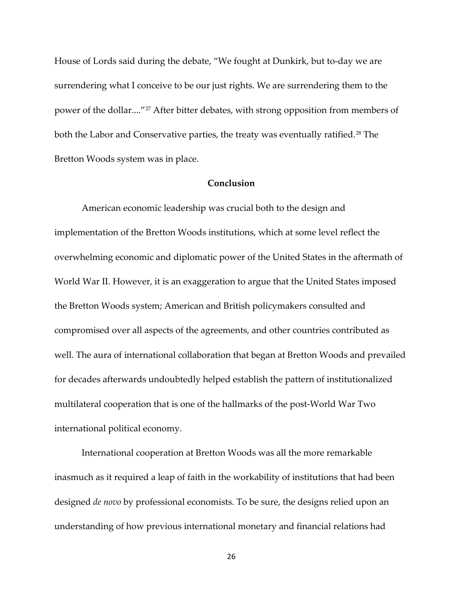House of Lords said during the debate, "We fought at Dunkirk, but to-day we are surrendering what I conceive to be our just rights. We are surrendering them to the power of the dollar...."[27](#page-31-3) After bitter debates, with strong opposition from members of both the Labor and Conservative parties, the treaty was eventually ratified.<sup>[28](#page-31-4)</sup> The Bretton Woods system was in place.

# **Conclusion**

American economic leadership was crucial both to the design and implementation of the Bretton Woods institutions, which at some level reflect the overwhelming economic and diplomatic power of the United States in the aftermath of World War II. However, it is an exaggeration to argue that the United States imposed the Bretton Woods system; American and British policymakers consulted and compromised over all aspects of the agreements, and other countries contributed as well. The aura of international collaboration that began at Bretton Woods and prevailed for decades afterwards undoubtedly helped establish the pattern of institutionalized multilateral cooperation that is one of the hallmarks of the post-World War Two international political economy.

International cooperation at Bretton Woods was all the more remarkable inasmuch as it required a leap of faith in the workability of institutions that had been designed *de novo* by professional economists. To be sure, the designs relied upon an understanding of how previous international monetary and financial relations had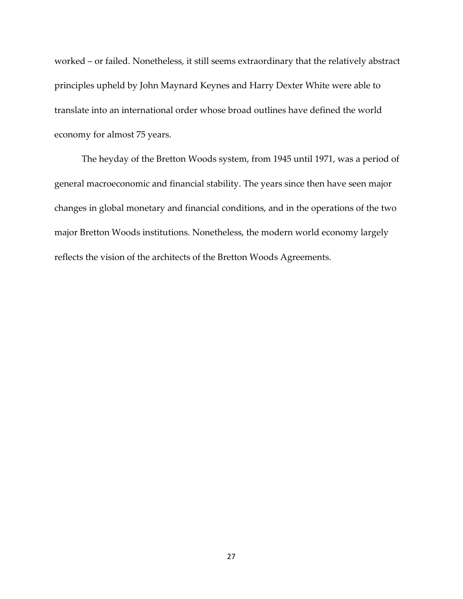worked – or failed. Nonetheless, it still seems extraordinary that the relatively abstract principles upheld by John Maynard Keynes and Harry Dexter White were able to translate into an international order whose broad outlines have defined the world economy for almost 75 years.

The heyday of the Bretton Woods system, from 1945 until 1971, was a period of general macroeconomic and financial stability. The years since then have seen major changes in global monetary and financial conditions, and in the operations of the two major Bretton Woods institutions. Nonetheless, the modern world economy largely reflects the vision of the architects of the Bretton Woods Agreements.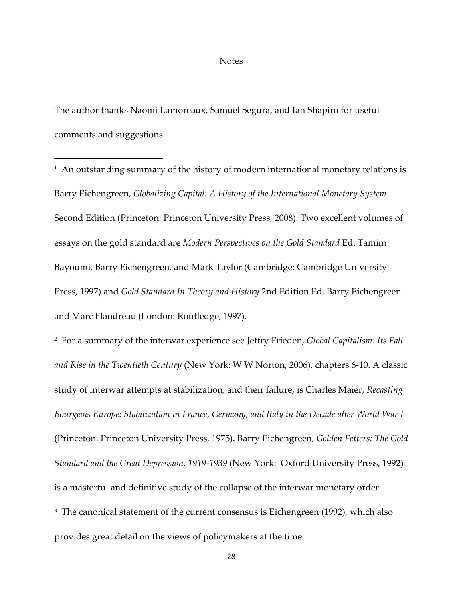### **Notes**

The author thanks Naomi Lamoreaux, Samuel Segura, and Ian Shapiro for useful comments and suggestions.

 $\overline{a}$ 

<span id="page-27-0"></span> $1$  An outstanding summary of the history of modern international monetary relations is Barry Eichengreen, *Globalizing Capital: A History of the International Monetary System* Second Edition (Princeton: Princeton University Press, 2008). Two excellent volumes of essays on the gold standard are *Modern Perspectives on the Gold Standard* Ed. Tamim Bayoumi, Barry Eichengreen, and Mark Taylor (Cambridge: Cambridge University Press, 1997) and *Gold Standard In Theory and History* 2nd Edition Ed. Barry Eichengreen and Marc Flandreau (London: Routledge, 1997).

<span id="page-27-1"></span>2 For a summary of the interwar experience see Jeffry Frieden, *Global Capitalism: Its Fall and Rise in the Twentieth Century* (New York: W W Norton, 2006), chapters 6-10. A classic study of interwar attempts at stabilization, and their failure, is Charles Maier, *Recasting Bourgeois Europe: Stabilization in France, Germany, and Italy in the Decade after World War I* (Princeton: Princeton University Press, 1975). Barry Eichengreen, *Golden Fetters: The Gold Standard and the Great Depression, 1919-1939* (New York: Oxford University Press, 1992) is a masterful and definitive study of the collapse of the interwar monetary order. <sup>3</sup> The canonical statement of the current consensus is Eichengreen (1992), which also

<span id="page-27-2"></span>provides great detail on the views of policymakers at the time.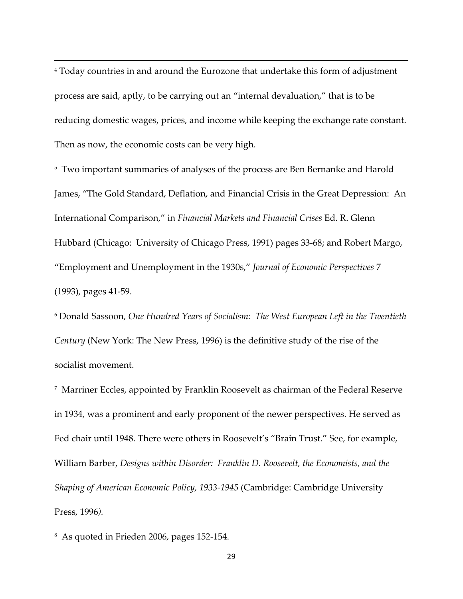<span id="page-28-0"></span><sup>4</sup> Today countries in and around the Eurozone that undertake this form of adjustment process are said, aptly, to be carrying out an "internal devaluation," that is to be reducing domestic wages, prices, and income while keeping the exchange rate constant. Then as now, the economic costs can be very high.

<span id="page-28-1"></span><sup>5</sup> Two important summaries of analyses of the process are Ben Bernanke and Harold James, "The Gold Standard, Deflation, and Financial Crisis in the Great Depression: An International Comparison," in *Financial Markets and Financial Crises* Ed. R. Glenn Hubbard (Chicago: University of Chicago Press, 1991) pages 33-68; and Robert Margo, "Employment and Unemployment in the 1930s," *Journal of Economic Perspectives* 7 (1993), pages 41-59.

<span id="page-28-2"></span><sup>6</sup> Donald Sassoon, *One Hundred Years of Socialism: The West European Left in the Twentieth Century* (New York: The New Press, 1996) is the definitive study of the rise of the socialist movement.

<span id="page-28-3"></span>7 Marriner Eccles, appointed by Franklin Roosevelt as chairman of the Federal Reserve in 1934, was a prominent and early proponent of the newer perspectives. He served as Fed chair until 1948. There were others in Roosevelt's "Brain Trust." See, for example, William Barber, *Designs within Disorder: Franklin D. Roosevelt, the Economists, and the Shaping of American Economic Policy, 1933-1945* (Cambridge: Cambridge University Press, 1996*).*

<span id="page-28-4"></span>8 As quoted in Frieden 2006, pages 152-154.

**.**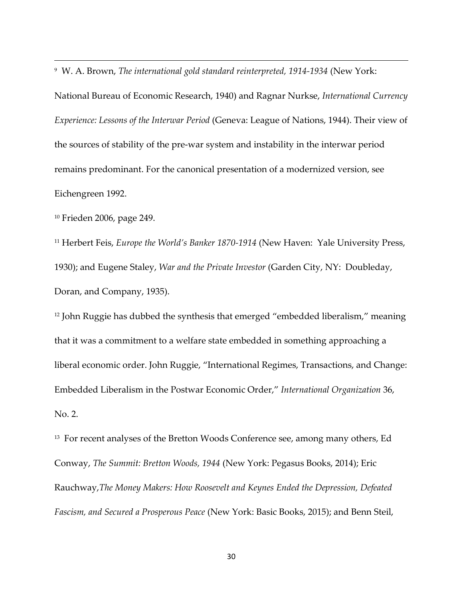<span id="page-29-0"></span><sup>9</sup> W. A. Brown, *The international gold standard reinterpreted, 1914-1934* (New York:

National Bureau of Economic Research, 1940) and Ragnar Nurkse, *International Currency Experience: Lessons of the Interwar Period* (Geneva: League of Nations, 1944). Their view of the sources of stability of the pre-war system and instability in the interwar period remains predominant. For the canonical presentation of a modernized version, see Eichengreen 1992.

<span id="page-29-1"></span><sup>10</sup> Frieden 2006, page 249.

**.** 

<span id="page-29-2"></span><sup>11</sup> Herbert Feis, *Europe the World's Banker 1870-1914* (New Haven: Yale University Press, 1930); and Eugene Staley, *War and the Private Investor* (Garden City, NY: Doubleday, Doran, and Company, 1935).

<span id="page-29-3"></span><sup>12</sup> John Ruggie has dubbed the synthesis that emerged "embedded liberalism," meaning that it was a commitment to a welfare state embedded in something approaching a liberal economic order. John Ruggie, "International Regimes, Transactions, and Change: Embedded Liberalism in the Postwar Economic Order," *International Organization* 36, No. 2.

<span id="page-29-4"></span><sup>13</sup> For recent analyses of the Bretton Woods Conference see, among many others, Ed Conway, *The Summit: Bretton Woods, 1944* (New York: Pegasus Books, 2014); Eric Rauchway,*The Money Makers: How Roosevelt and Keynes Ended the Depression, Defeated Fascism, and Secured a Prosperous Peace* (New York: Basic Books, 2015); and Benn Steil,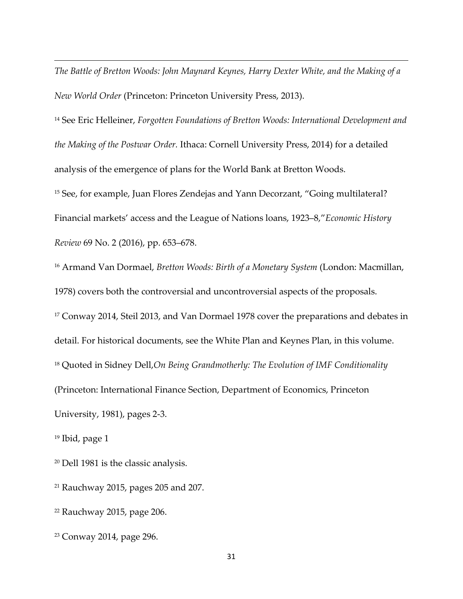*The Battle of Bretton Woods: John Maynard Keynes, Harry Dexter White, and the Making of a New World Order* (Princeton: Princeton University Press, 2013).

<span id="page-30-1"></span><span id="page-30-0"></span><sup>14</sup> See Eric Helleiner, *Forgotten Foundations of Bretton Woods: International Development and the Making of the Postwar Order.* Ithaca: Cornell University Press, 2014) for a detailed analysis of the emergence of plans for the World Bank at Bretton Woods. <sup>15</sup> See, for example, Juan Flores Zendejas and Yann Decorzant, "Going multilateral? Financial markets' access and the League of Nations loans, 1923–8,"*Economic History Review* 69 No. 2 (2016), pp. 653–678.

<span id="page-30-3"></span><span id="page-30-2"></span><sup>16</sup> Armand Van Dormael, *Bretton Woods: Birth of a Monetary System* (London: Macmillan, 1978) covers both the controversial and uncontroversial aspects of the proposals. <sup>17</sup> Conway 2014, Steil 2013, and Van Dormael 1978 cover the preparations and debates in detail. For historical documents, see the White Plan and Keynes Plan, in this volume. <sup>18</sup> Quoted in Sidney Dell,*On Being Grandmotherly: The Evolution of IMF Conditionality* (Princeton: International Finance Section, Department of Economics, Princeton University, 1981), pages 2-3.

<span id="page-30-5"></span><span id="page-30-4"></span><sup>19</sup> Ibid, page 1

**.** 

<span id="page-30-6"></span><sup>20</sup> Dell 1981 is the classic analysis.

<span id="page-30-7"></span> $21$  Rauchway 2015, pages 205 and 207.

<span id="page-30-8"></span><sup>22</sup> Rauchway 2015, page 206.

<span id="page-30-9"></span><sup>23</sup> Conway 2014, page 296.

31